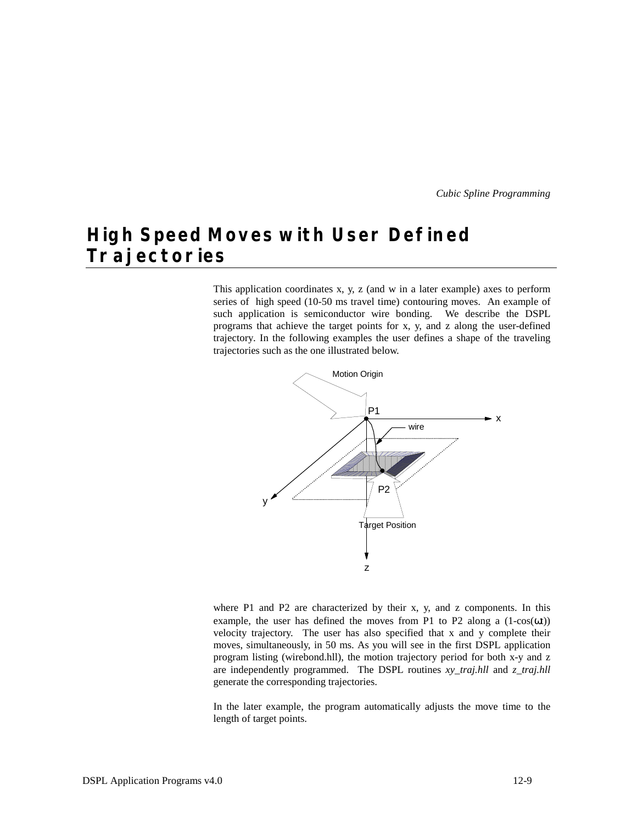# **High Speed Moves with User Defined Trajectories**

This application coordinates x, y, z (and w in a later example) axes to perform series of high speed (10-50 ms travel time) contouring moves. An example of such application is semiconductor wire bonding. We describe the DSPL programs that achieve the target points for x, y, and z along the user-defined trajectory. In the following examples the user defines a shape of the traveling trajectories such as the one illustrated below.



where P1 and P2 are characterized by their x, y, and z components. In this example, the user has defined the moves from P1 to P2 along a  $(1-cos(\omega t))$ velocity trajectory. The user has also specified that x and y complete their moves, simultaneously, in 50 ms. As you will see in the first DSPL application program listing (wirebond.hll), the motion trajectory period for both x-y and z are independently programmed. The DSPL routines *xy\_traj.hll* and *z\_traj.hll* generate the corresponding trajectories.

In the later example, the program automatically adjusts the move time to the length of target points.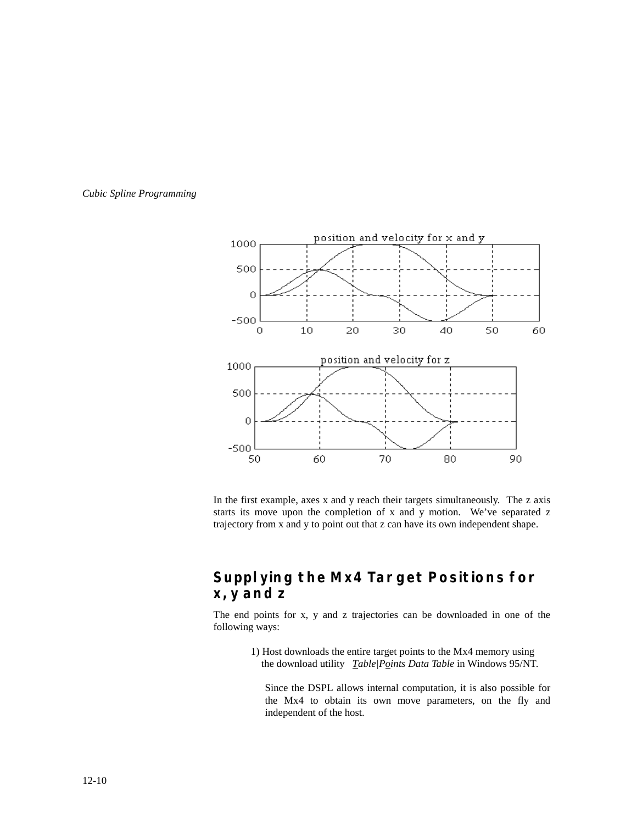



In the first example, axes x and y reach their targets simultaneously. The z axis starts its move upon the completion of x and y motion. We've separated z trajectory from x and y to point out that z can have its own independent shape.

### **Supplying the Mx4 Target Positions for x, y and z**

The end points for x, y and z trajectories can be downloaded in one of the following ways:

> 1) Host downloads the entire target points to the Mx4 memory using the download utility *Table|Points Data Table* in Windows 95/NT.

Since the DSPL allows internal computation, it is also possible for the Mx4 to obtain its own move parameters, on the fly and independent of the host.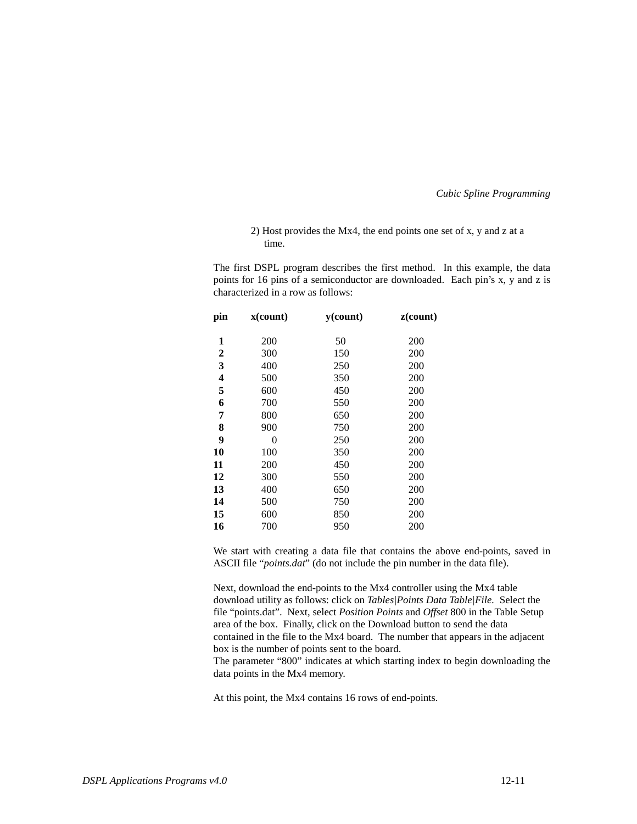#### 2) Host provides the Mx4, the end points one set of x, y and z at a time.

The first DSPL program describes the first method. In this example, the data points for 16 pins of a semiconductor are downloaded. Each pin's x, y and z is characterized in a row as follows:

| pin              | x(count) | $y$ (count) | z(count) |
|------------------|----------|-------------|----------|
| 1                | 200      | 50          | 200      |
| $\boldsymbol{2}$ | 300      | 150         | 200      |
| 3                | 400      | 250         | 200      |
| 4                | 500      | 350         | 200      |
| 5                | 600      | 450         | 200      |
| 6                | 700      | 550         | 200      |
| 7                | 800      | 650         | 200      |
| 8                | 900      | 750         | 200      |
| 9                | 0        | 250         | 200      |
| 10               | 100      | 350         | 200      |
| 11               | 200      | 450         | 200      |
| 12               | 300      | 550         | 200      |
| 13               | 400      | 650         | 200      |
| 14               | 500      | 750         | 200      |
| 15               | 600      | 850         | 200      |
| 16               | 700      | 950         | 200      |
|                  |          |             |          |

We start with creating a data file that contains the above end-points, saved in ASCII file "*points.dat*" (do not include the pin number in the data file).

Next, download the end-points to the Mx4 controller using the Mx4 table download utility as follows: click on *Tables|Points Data Table|File.* Select the file "points.dat". Next, select *Position Points* and *Offset* 800 in the Table Setup area of the box. Finally, click on the Download button to send the data contained in the file to the Mx4 board. The number that appears in the adjacent box is the number of points sent to the board.

The parameter "800" indicates at which starting index to begin downloading the data points in the Mx4 memory.

At this point, the Mx4 contains 16 rows of end-points.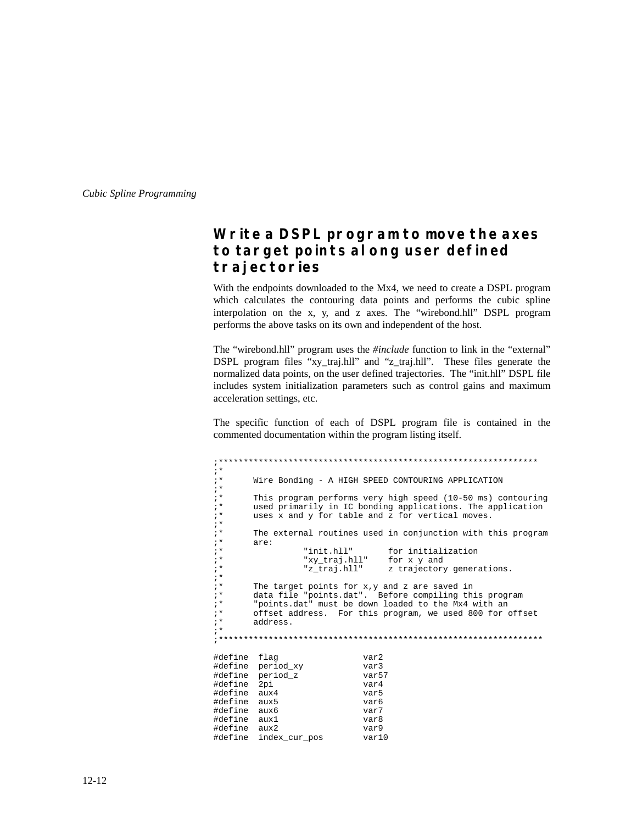### **Write a DSPL program to move the axes to target points along user defined trajectories**

With the endpoints downloaded to the Mx4, we need to create a DSPL program which calculates the contouring data points and performs the cubic spline interpolation on the x, y, and z axes. The "wirebond.hll" DSPL program performs the above tasks on its own and independent of the host.

The "wirebond.hll" program uses the *#include* function to link in the "external" DSPL program files "xy\_traj.hll" and "z\_traj.hll". These files generate the normalized data points, on the user defined trajectories. The "init.hll" DSPL file includes system initialization parameters such as control gains and maximum acceleration settings, etc.

The specific function of each of DSPL program file is contained in the commented documentation within the program listing itself.

;\*\*\*\*\*\*\*\*\*\*\*\*\*\*\*\*\*\*\*\*\*\*\*\*\*\*\*\*\*\*\*\*\*\*\*\*\*\*\*\*\*\*\*\*\*\*\*\*\*\*\*\*\*\*\*\*\*\*\*\*\*\*\*\* ;\* Wire Bonding - A HIGH SPEED CONTOURING APPLICATION ;\* ;\* This program performs very high speed (10-50 ms) contouring ;\* used primarily in IC bonding applications. The application<br>;\* uses x and y for table and z for vertical moves. uses x and y for table and z for vertical moves. ;\* ;\* The external routines used in conjunction with this program<br>;\* are: ;\*  $\qquad \qquad \text{are:}$ ;\* "init.hll" for initialization ;\* "xy\_traj.hll" for x y and z trajectory generations. ;\* ;\* The target points for x,y and z are saved in ;\* data file "points.dat". Before compiling this program ;\* "points.dat" must be down loaded to the Mx4 with an ;\* offset address. For this program, we used 800 for offset address. ;\* ;\*\*\*\*\*\*\*\*\*\*\*\*\*\*\*\*\*\*\*\*\*\*\*\*\*\*\*\*\*\*\*\*\*\*\*\*\*\*\*\*\*\*\*\*\*\*\*\*\*\*\*\*\*\*\*\*\*\*\*\*\*\*\*\*\* #define flag var2 #define period\_xy var3 #define period\_z var57 #define 2pi var4 #define aux4 var5 #define aux5 var6 #define aux6 var7  $\#define$   $aux1$ #define aux2 var9 #define index\_cur\_pos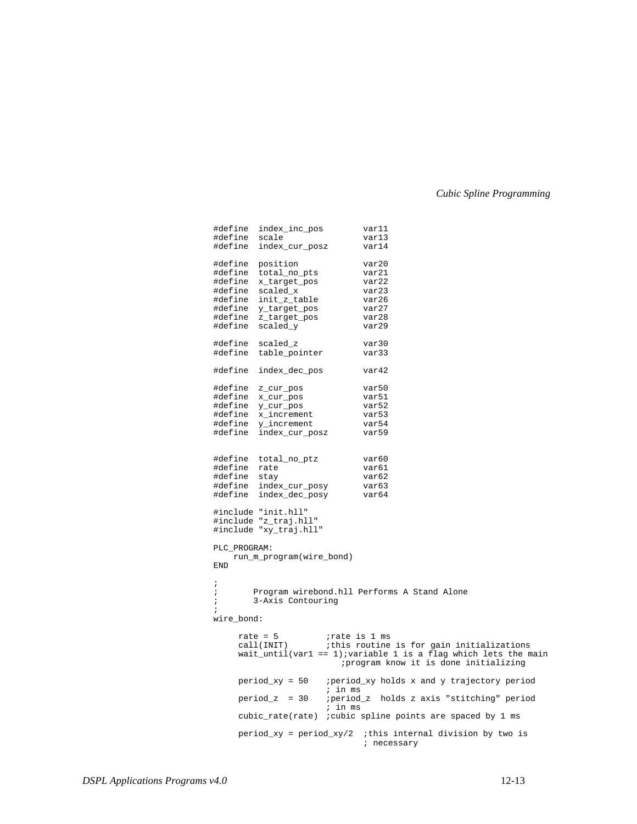| #define scale            | #define index_inc_pos              | var11<br>var13                                                           |  |  |  |
|--------------------------|------------------------------------|--------------------------------------------------------------------------|--|--|--|
|                          | #define index_cur_posz             | var14                                                                    |  |  |  |
|                          | #define position                   | var20                                                                    |  |  |  |
|                          | #define total_no_pts               | var21                                                                    |  |  |  |
|                          | #define x_target_pos               | var22                                                                    |  |  |  |
|                          | #define scaled_x                   | var23                                                                    |  |  |  |
|                          | #define init_z_table               | var26                                                                    |  |  |  |
|                          | #define y_target_pos               | var27                                                                    |  |  |  |
|                          | #define z_target_pos               | var28                                                                    |  |  |  |
|                          | #define scaled_y                   | var29                                                                    |  |  |  |
|                          | #define scaled_z                   | var30                                                                    |  |  |  |
|                          | #define table_pointer              | var33                                                                    |  |  |  |
|                          |                                    |                                                                          |  |  |  |
|                          | #define index_dec_pos              | var42                                                                    |  |  |  |
|                          | #define z_cur_pos                  | var50                                                                    |  |  |  |
|                          | #define x_cur_pos                  | var51                                                                    |  |  |  |
|                          | #define y_cur_pos                  | var52                                                                    |  |  |  |
|                          | #define x_increment                | var53                                                                    |  |  |  |
|                          | #define y_increment                | var54                                                                    |  |  |  |
|                          | #define index_cur_posz             | var59                                                                    |  |  |  |
|                          |                                    |                                                                          |  |  |  |
|                          | #define total_no_ptz               | var60                                                                    |  |  |  |
| #define rate             |                                    | var61                                                                    |  |  |  |
| #define stay             |                                    | var62                                                                    |  |  |  |
|                          | #define index_cur_posy             | var63                                                                    |  |  |  |
|                          | #define index_dec_posy             | var64                                                                    |  |  |  |
|                          |                                    |                                                                          |  |  |  |
|                          | #include "init.hll"                |                                                                          |  |  |  |
|                          | #include "z_traj.hll"              |                                                                          |  |  |  |
|                          | #include "xy_traj.hll"             |                                                                          |  |  |  |
| PLC_PROGRAM:             |                                    |                                                                          |  |  |  |
| run_m_program(wire_bond) |                                    |                                                                          |  |  |  |
| END                      |                                    |                                                                          |  |  |  |
| i.                       |                                    |                                                                          |  |  |  |
| $\ddot{ }$               |                                    | Program wirebond.hll Performs A Stand Alone                              |  |  |  |
| $\ddot{ }$               | 3-Axis Contouring                  |                                                                          |  |  |  |
| $\ddot{ }$               |                                    |                                                                          |  |  |  |
| wire_bond:               |                                    |                                                                          |  |  |  |
|                          | rate = $5$<br><i>irate</i> is 1 ms |                                                                          |  |  |  |
|                          |                                    | call(INIT) : this routine is for gain initializations                    |  |  |  |
|                          |                                    | wait_until(varl == $1$ ); variable 1 is a flag which lets the main       |  |  |  |
|                          |                                    | ; program know it is done initializing                                   |  |  |  |
|                          | period_xy = 50                     | period_xy holds x and y trajectory period                                |  |  |  |
|                          | ; in ms                            |                                                                          |  |  |  |
|                          | $period_z = 30$<br>$i$ in $ms$     | ; period_z holds z axis "stitching" period                               |  |  |  |
|                          |                                    | cubic_rate(rate) ; cubic spline points are spaced by 1 ms                |  |  |  |
|                          |                                    | period_xy = period_xy/2 :this internal division by two is<br>; necessary |  |  |  |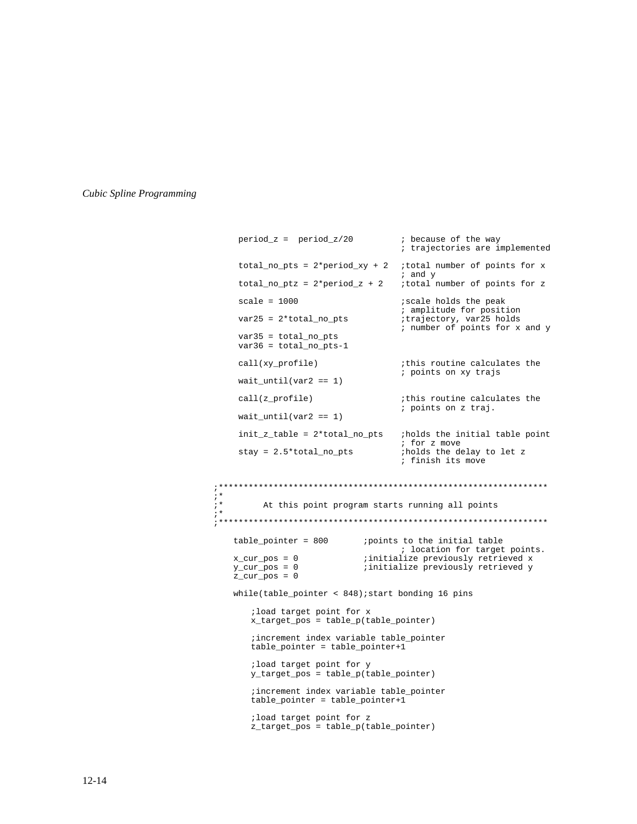;\*

;\*

```
period_z = period_z/20 ; because of the way
                                      ; trajectories are implemented
     total_no_pts = 2*period_xy + 2 ;total number of points for x
                                      ; and y
 total_no_ptz = 2*period_z + 2 ;total number of points for z
     scale = 1000 ; scale holds the peak
                                      ; amplitude for position
var25 = 2*total_no_pts                                 ;trajectory, var25 holds
                                      ; number of points for x and y
      var35 = total_no_pts
      var36 = total_no_pts-1
     call(xy_profile) \qquad \qquad ; this routine calculates the
                                      ; points on xy trajs
     wait\_until(var2 == 1)call(z_profile) \qquad \qquad ;this routine calculates the
                                      ; points on z traj.
     wait\_until(var2 == 1)init_z<sub>table</sub> = 2 * total_n<sub>p</sub>ts ;holds the initial table point
                                      ; for z move
     stay = 2.5*total_no_pts ;holds the delay to let z
                                      ; finish its move
;******************************************************************
         At this point program starts running all points
;******************************************************************
    table\_pointer = 800 ; points to the initial table
                                     ; location for target points.
   x\_cur\_pos = 0 ; initialize previously retrieved x<br>
y\_cur\_pos = 0 ; initialize previously retrieved y
                              ; initialize previously retrieved y
    z_{cur} pos = 0
    while(table pointer < 848); start bonding 16 pins
       ;load target point for x
       x_target_pos = table_p(table_pointer)
       ;increment index variable table_pointer
       table_pointer = table_pointer+1
       ;load target point for y
       y_target_pos = table_p(table_pointer)
       ;increment index variable table_pointer
       table_pointer = table_pointer+1
       ;load target point for z
       z_target_pos = table_p(table_pointer)
```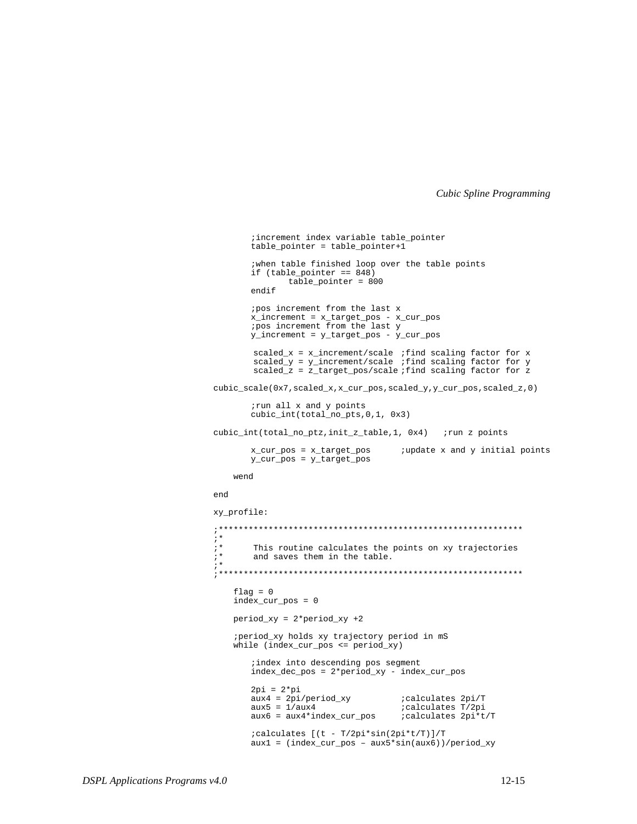```
; increment index variable table_pointer
       table_pointer = table_pointer+1
       ; when table finished loop over the table points
       if (table\_pointer == 848)table_pointer = 800
       endif
       ipos increment from the last x
       x_increment = x_target_pos - x_cur_pos
       ipos increment from the last y
       y_{interement} = y_{target_{pos} - y_{cur_{pos}}scaled_x = x_increment/scale ;find scaling factor for x<br>scaled_y = y_increment/scale ;find scaling factor for y
       scaled_z = z_{target_{post}}/scale; find scaling factor for z
cubic_scale(0x7,scaled_x,x_cur_pos,scaled_y,y_cur_pos,scaled_z,0)
       irun all x and y points
       cubic-int(total-nopts, 0, 1, 0x3)cubic_int(total_no_ptz,init_z_table,1, 0x4) ; run z points
       x_cur_pos = x_target_pos
                                   ;update x and y initial points
       y_cur_pos = y_Larget_poswend
end
xy_profile:
; *; *This routine calculates the points on xy trajectories
; *and saves them in the table.
; *flag = 0index_cur_pos = 0
   period_{xy} = 2*period_{xy} + 2; period_xy holds xy trajectory period in mS
   while (index_cur_pos \le period_xy)i index into descending pos segment
       index_dec_pos = 2*period_xy - index_cur_pos
       2pi = 2 * piaux4 = 2pi/period_{XY};calculates 2pi/T
                                    ; calculates T/2pi
       aux5 = 1/aux4aux6 = aux4*index_cur_pos;calculates 2pi*t/T
       ; calculates [(t - T/2pi*sin(2pi*t/T)]/T
       aux1 = (index_cur_pos - aux5*sin(aux6))/period_xy
```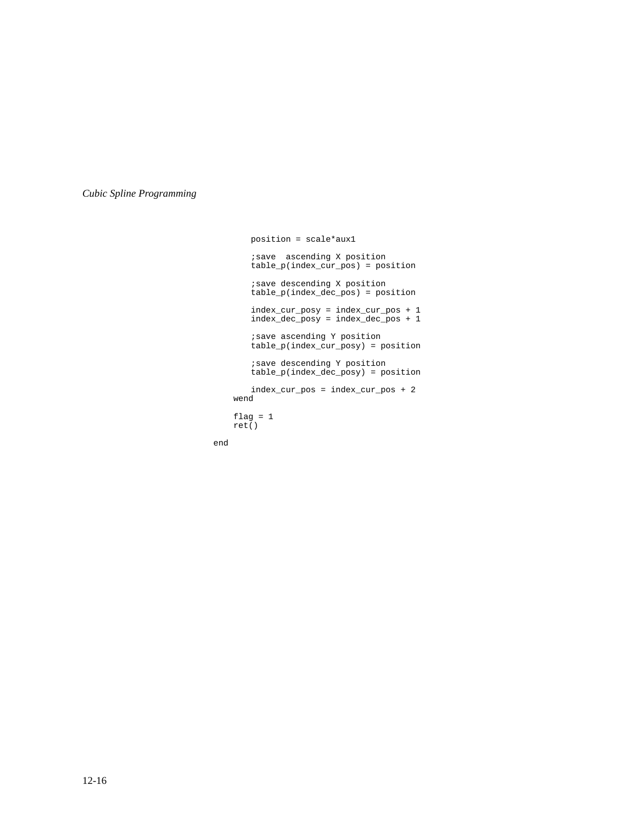```
position = scale*aux1
   ;save ascending X position
   table_p(index_cur_pos) = position
    ;save descending X position
    table_p(index_dec_pos) = position
    index_cur_posy = index_cur_pos + 1
    index_dec_posy = index_dec_pos + 1
    ;save ascending Y position
    table_p(index_cur_posy) = position
    ;save descending Y position
    table_p(index_dec_posy) = position
   index_cur_pos = index_cur_pos + 2
 wend
flag = 1 ret()
```
end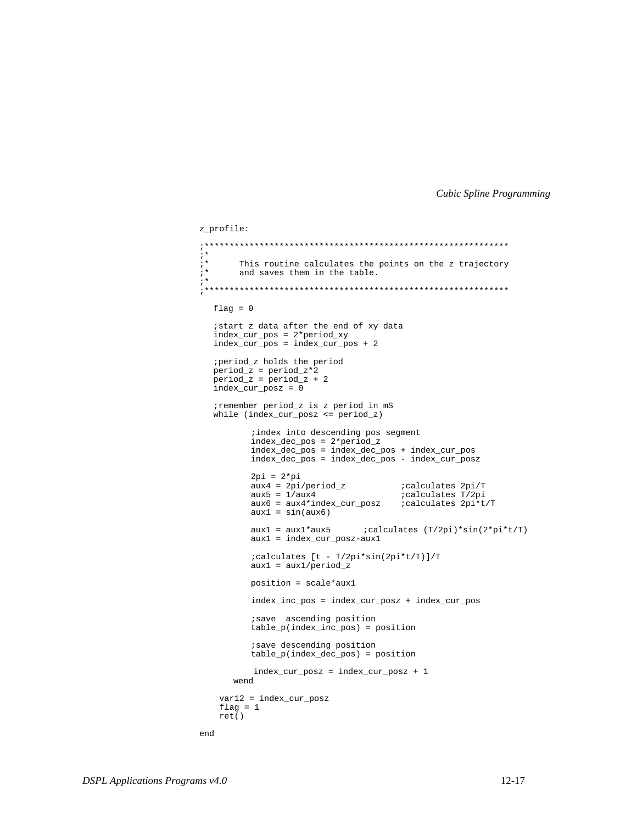```
z profile:
; \star; *This routine calculates the points on the z trajectory
; *and saves them in the table.
; *flag = 0istart z data after the end of xy data
  index_cur_pos = 2*period_xy
  index_lcur_pos = index_lcur_pos + 2; period_z holds the period
  period_z = period_z * 2period_z = period_z + 2index\_cur\_posz = 0; remember period_z is z period in mS
  while (index\_cur\_posz \leq period_z); index into descending pos segment
         index_dec_pos = 2*period_z
         index\_dec\_pos = index\_dec\_pos + index\_cur\_pos\frac{1}{2} index dec_pos = index dec_pos - index cur_posz
         2pi = 2*piaux4 = 2pi/period_z : calculates 2pi/T<br>z = 1/constaux5 = 1/aux4calculates T/2pi
         aux6 = aux4*index_cur_posz ; calculates 2pi*t/Taux1 = sin(aux6)aux1 = aux1 * aux5 : calculates (T/2pi) * sin(2 * pi * t/T)aux1 = index_cur_posz-aux1; calculates [t - T/2pi*sin(2pi*t/T)]/T
         aux1 = aux1/period_zposition = scale*aux1
         index_inc_pos = index_cur_posz + index_cur_pos
         isave ascending position
         table_p(intdex_inc_pos) = positionisave descending position
         table_p(index_dec_pos) = position
         index_cur_posz = index_cur_posz + 1wend
   var12 = index_l cur_poszflag = 1ret()end
```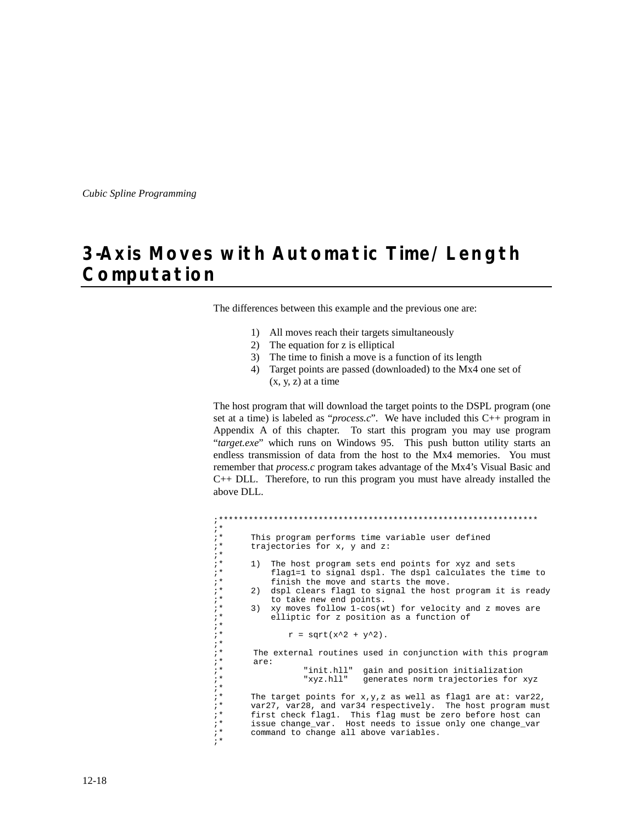# **3-Axis Moves with Automatic Time/Length Computation**

The differences between this example and the previous one are:

- 1) All moves reach their targets simultaneously
- 2) The equation for z is elliptical
- 3) The time to finish a move is a function of its length
- 4) Target points are passed (downloaded) to the Mx4 one set of  $(x, y, z)$  at a time

The host program that will download the target points to the DSPL program (one set at a time) is labeled as "*process.c*". We have included this C++ program in Appendix A of this chapter. To start this program you may use program "*target.exe*" which runs on Windows 95. This push button utility starts an endless transmission of data from the host to the Mx4 memories. You must remember that *process.c* program takes advantage of the Mx4's Visual Basic and C++ DLL. Therefore, to run this program you must have already installed the above DLL.

```
;****************************************************************
;*
i^* This program performs time variable user defined i^* trajectories for x, y and z:
         trajectories for x, y and z:
;*
;* 1) The host program sets end points for xyz and sets<br>;* flagl=1 to signal dspl. The dspl calculates the t
;* flag1=1 to signal dspl. The dspl calculates the time to<br>;* finish the move and starts the move.
; * finish the move and starts the move.<br>; * 2) dspl clears flag1 to signal the host
;* 2) dspl clears flag1 to signal the host program it is ready<br>;* to take new end points.
;* to take new end points.<br>;* 3) xy moves follow 1-cos(w
: * 3) xy moves follow 1-cos(wt) for velocity and z moves are<br>: *       elliptic for z position as a function of
               elliptic for z position as a function of
;*
                   r = sqrt(x^2 + y^2).
;*
;* The external routines used in conjunction with this program
; * are:<br>; *;* "init.hll" gain and position initialization
                                       generates norm trajectories for xyz
; *<br>; *
i^* The target points for x, y, z as well as flagl are at: var22, i^* var27, var28, and var34 respectively. The host program mus
;* var27, var28, and var34 respectively. The host program must
;* first check flag1. This flag must be zero before host can
;* issue change_var. Host needs to issue only one change_var
: Issue change var: hose house of issue<br>i* command to change all above variables.
;*
```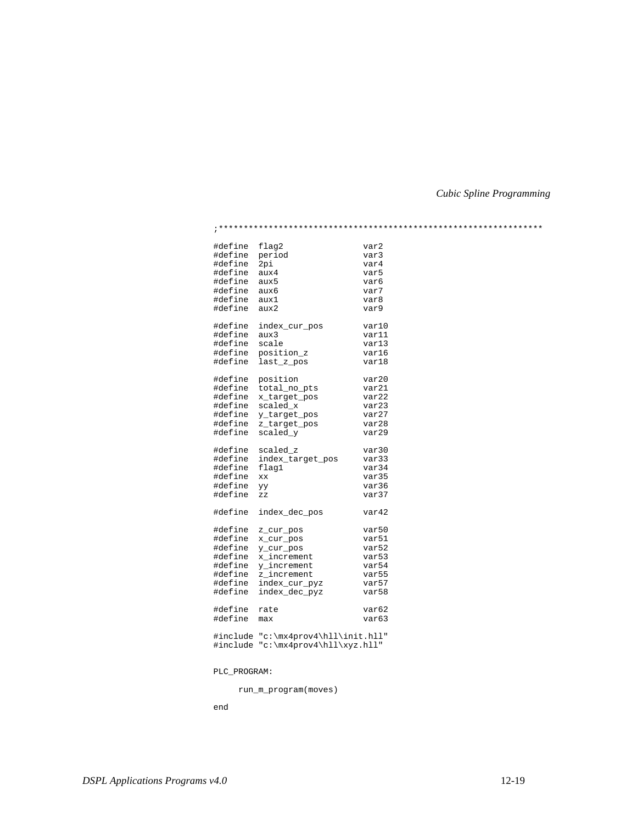| #define       | flag2                               | var2              |  |
|---------------|-------------------------------------|-------------------|--|
| #define       | period                              | var3              |  |
| #define 2pi   |                                     | var4              |  |
| #define       | aux4                                | var5              |  |
| #define aux5  |                                     | var6              |  |
| #define aux6  |                                     | var7              |  |
| #define aux1  |                                     | var8              |  |
| #define       | aux2                                | var9              |  |
| #define       | index_cur_pos                       | var10             |  |
| #define       | aux3                                | var11             |  |
| #define scale |                                     | var13             |  |
|               | #define position_z                  | var16             |  |
|               | #define last_z_pos                  | var18             |  |
|               |                                     |                   |  |
| #define       | position                            | var20             |  |
|               | #define total_no_pts                | var21             |  |
|               | #define x_target_pos                | var22             |  |
|               | #define scaled_x                    | var23             |  |
|               | #define y_target_pos                | var27             |  |
|               | #define z_target_pos                | $\texttt{var}28$  |  |
|               | #define scaled_y                    | var29             |  |
|               | #define scaled_z                    | var30             |  |
|               | #define index_target_pos            | var33             |  |
| #define       | flag1                               | var34             |  |
| #define       | XX                                  | var35             |  |
| #define       | УУ                                  | var36             |  |
| #define       | ZZ                                  | var37             |  |
| #define       | index_dec_pos                       | var42             |  |
|               | #define z_cur_pos                   | var50             |  |
| #define       | x_cur_pos                           | var51             |  |
| #define       | y_cur_pos                           | var52             |  |
| #define       | x increment                         | var53             |  |
| #define       | y_increment                         | var54             |  |
| #define       | z increment                         | var55             |  |
| #define       | index_cur_pyz                       | var57             |  |
| #define       | index_dec_pyz                       | var58             |  |
| #define       | rate                                | var <sub>62</sub> |  |
| #define       | max                                 | var63             |  |
|               | #include "c:\mx4prov4\hll\init.hll" |                   |  |
|               |                                     |                   |  |
|               | #include "c:\mx4prov4\hll\xyz.hll"  |                   |  |

PLC\_PROGRAM:

run\_m\_program(moves)

end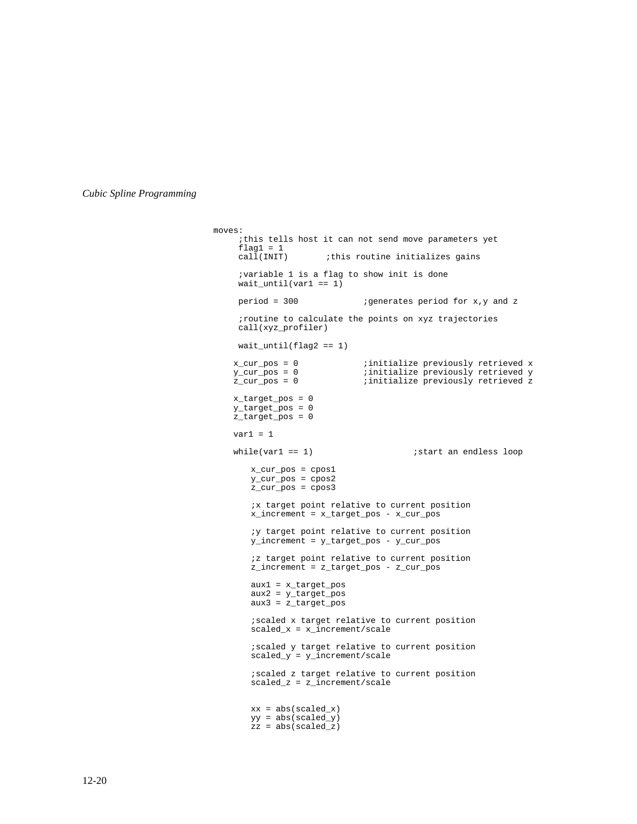```
moves:
     ;this tells host it can not send move parameters yet
    flag1 = 1<br>call(INIT)
                     ithis routine initializes gains
 ;variable 1 is a flag to show init is done
 wait_until(var1 == 1)
    period = 300 ;generates period for x, y and z
     ;routine to calculate the points on xyz trajectories
     call(xyz_profiler)
    wait\_until(flag2 == 1) x_cur_pos = 0 ;initialize previously retrieved x
 y_cur_pos = 0 ;initialize previously retrieved y
   z_cur_pos = 0 \qquad \qquad ; initialize previously retrieved z
    x_target_pos = 0
 y_target_pos = 0
 z_target_pos = 0
   var1 = 1while(var1 == 1) ; start an endless loop
       x_cur_pos = cpos1
       y_cur_pos = cpos2
       z_cur_pos = cpos3
       ;x target point relative to current position
       x_increment = x_target_pos - x_cur_pos
       ;y target point relative to current position
       y_increment = y_target_pos - y_cur_pos
       ;z target point relative to current position
       z_increment = z_target_pos - z_cur_pos
       aux1 = x_target_pos
       aux2 = y_target_pos
       aux3 = z_target_pos
       ;scaled x target relative to current position
       scaled_x = x_increment/scale;scaled y target relative to current position
       scaled_y = y_increment/scale
       ;scaled z target relative to current position
       scaled_z = z_increment/scale
       xx = abs(scaled_x)yy = abs(scaled_y)
       zz = abs(scaled_z)
```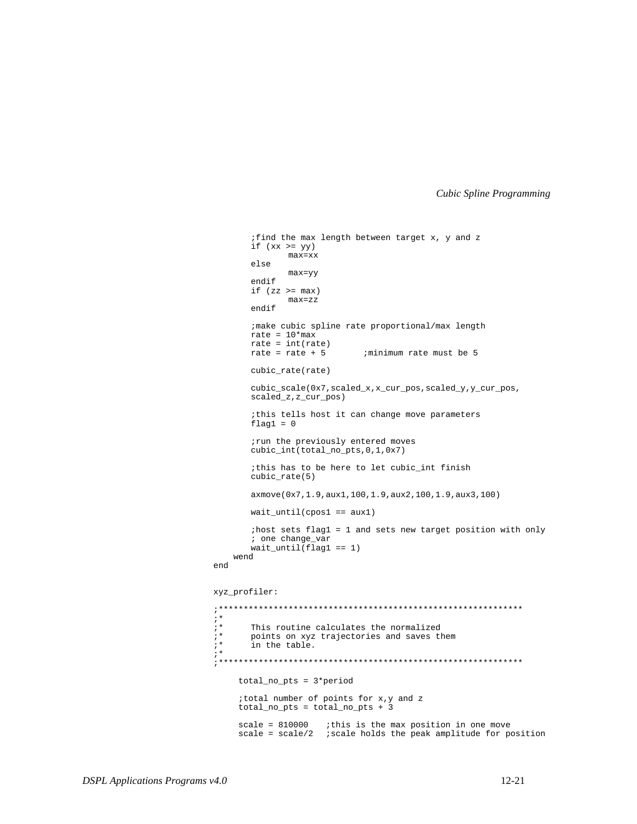```
;find the max length between target x, y and z
        if (xx \geq = yy)max=xx
        else
                max=yy
        endif
        if (zz \gt = max)max=zz
        endif
        ;make cubic spline rate proportional/max length
        rate = 10*maxrate = int(rate)<br>rate = rate + 5
                               ; minimum rate must be 5
        cubic_rate(rate)
        cubic_scale(0x7,scaled_x,x_cur_pos,scaled_y,y_cur_pos,
        scaled_z,z_cur_pos)
        ;this tells host it can change move parameters
        flag1 = 0;run the previously entered moves
        cubic_int(total_no_pts,0,1,0x7)
        ;this has to be here to let cubic_int finish
        cubic_rate(5)
        axmove(0x7,1.9,aux1,100,1.9,aux2,100,1.9,aux3,100)
        wait_until(cpos1 == aux1)
        ;host sets flag1 = 1 and sets new target position with only
        ; one change_var
        wait\_until(flag1 == 1) wend
end
xyz_profiler:
;*************************************************************
;* This routine calculates the normalized<br>;* points on xyz trajectories and saves the
;* points on xyz trajectories and saves them
        in the table.
;*************************************************************
      total_no_pts = 3*period
      ;total number of points for x,y and z
      total_no_pts = total_no_pts + 3
     scale = 810000 ; this is the max position in one move
     scale = scale/2 ; scale holds the peak amplitude for position
```
;\*

;\*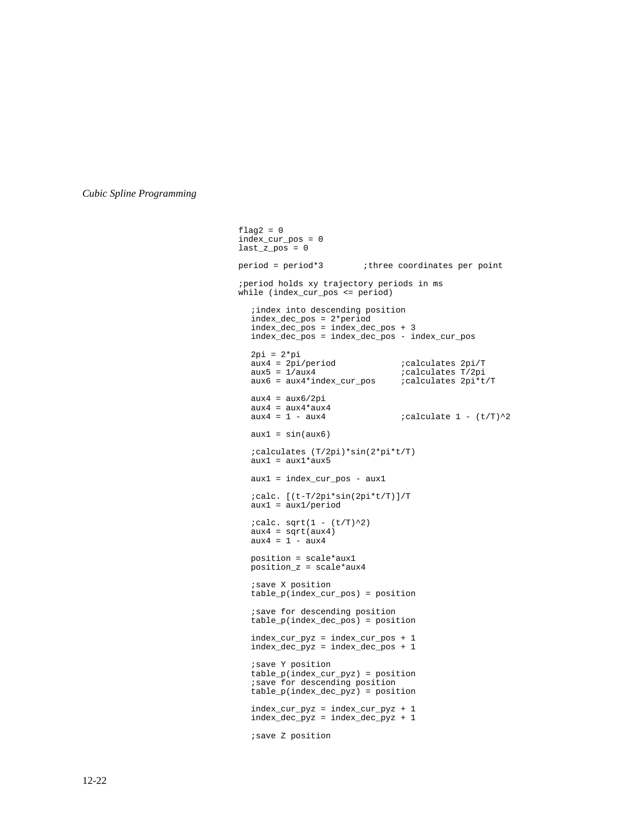$flag2 = 0$  index\_cur\_pos = 0  $last_z$  pos = 0 period = period\*3 ;three coordinates per point ;period holds xy trajectory periods in ms while (index\_cur\_pos <= period) ;index into descending position index\_dec\_pos = 2\*period index\_dec\_pos = index\_dec\_pos + 3 index\_dec\_pos = index\_dec\_pos - index\_cur\_pos 2pi = 2\*pi aux4 = 2pi/period ;calculates 2pi/T aux5 = 1/aux4 ;calculates T/2pi  $aux6 = aux4*index_cur_pos$  ;calculates  $2pi*t/T$  $aux4 = aux6/2pi$  $aux4 = aux4 * aux4$ <br> $aux4 = 1 - aux4$  $i$ calculate 1 - (t/T)^2  $aux1 = sin(aux6)$ ;calculates (T/2pi)\*sin(2\*pi\*t/T) aux1 = aux1\*aux5 aux1 = index\_cur\_pos - aux1 ;calc. [(t-T/2pi\*sin(2pi\*t/T)]/T  $aux1 = aux1/period$  $i$ calc. sqrt $(1 - (t/T)^2)$  $aux4 = sqrt(aux4)$ aux4 = 1 - aux4 position = scale\*aux1 position\_z = scale\*aux4 ;save X position table\_p(index\_cur\_pos) = position ;save for descending position table\_p(index\_dec\_pos) = position index\_cur\_pyz = index\_cur\_pos + 1 index\_dec\_pyz = index\_dec\_pos + 1 ;save Y position table\_p(index\_cur\_pyz) = position ;save for descending position table\_p(index\_dec\_pyz) = position index\_cur\_pyz = index\_cur\_pyz + 1 index\_dec\_pyz = index\_dec\_pyz + 1 ;save Z position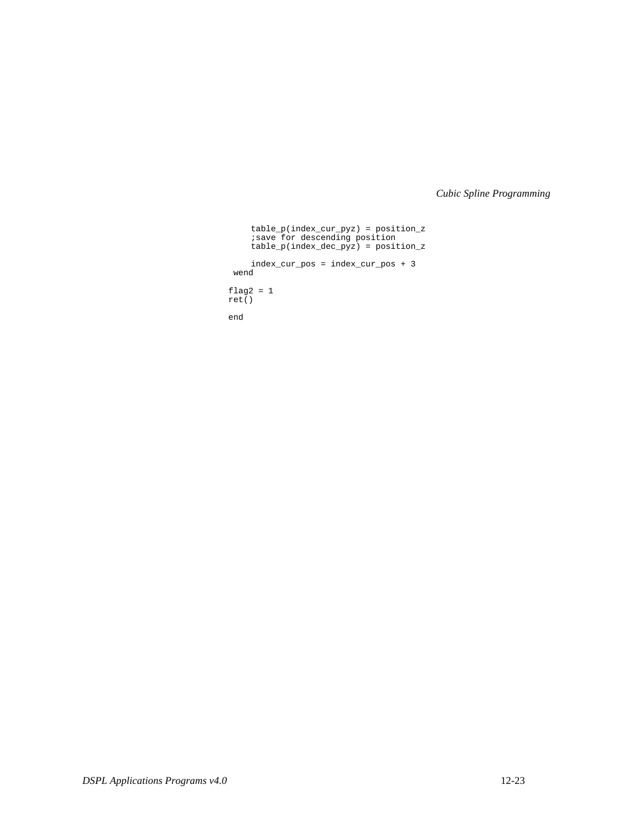```
table_p(index_cur_pyz) = position_z
       ;save for descending position
       table_p(index_dec_pyz) = position_z
      index_cur_pos = index_cur_pos + 3
    wend
 flag2 = 1
 ret()
```

```
 end
```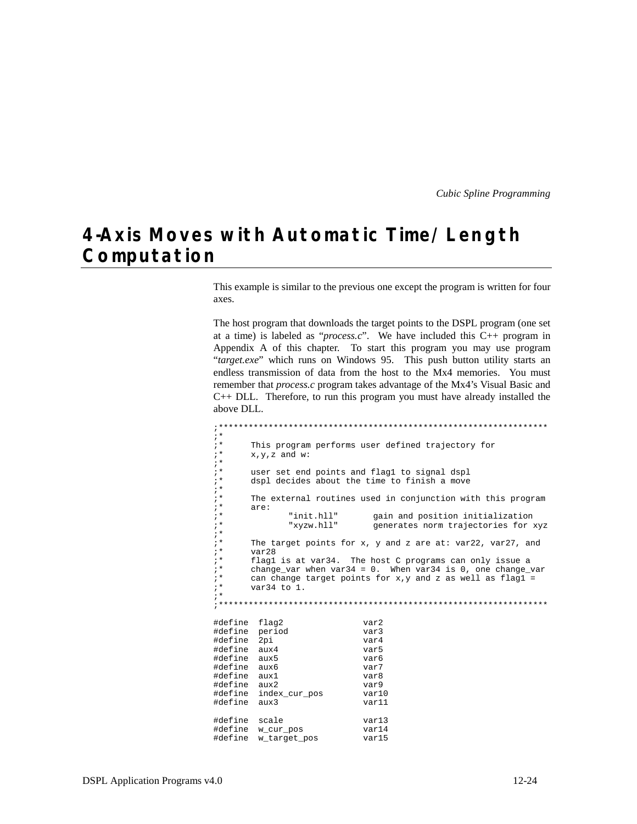## 4-Axis Moves with Automatic Time/Length Computation

This example is similar to the previous one except the program is written for four axes.

The host program that downloads the target points to the DSPL program (one set at a time) is labeled as "*process.c*". We have included this  $C++$  program in Appendix A of this chapter. To start this program you may use program "target.exe" which runs on Windows 95. This push button utility starts an endless transmission of data from the host to the Mx4 memories. You must remember that *process.c* program takes advantage of the Mx4's Visual Basic and  $C++$  DLL. Therefore, to run this program you must have already installed the above DLL.

```
;***; \star; *This program performs user defined trajectory for
; *x.y.z and w:
; *; *user set end points and flag1 to signal dspl
; *dspl decides about the time to finish a move
; *; *The external routines used in conjunction with this program
; *are:
; *"init.hll"
                             gain and position initialization
; *"xyzw.hll"
                             generates norm trajectories for xyz
; *, *The target points for x, y and z are at: var22, var27, and
; *var28
; *flag1 is at var34. The host C programs can only issue a
; *change var when var34 = 0. When var34 is 0, one change var
; *can change target points for x, y and z as well as flagl =
; *var34 to 1.
; *#define flag2
                           var2#define period
                           var3
#define 2pi
                           var4#define aux4
                           var<sub>5</sub>
#define aux5
                           var<sub>6</sub>
#define aux6
                           var7
#define aux1
                           var8#define aux2
                           var9#define index_cur_pos
                           var10#define aux3
                           var11
#define scale
                           var13#define w_cur_pos
                           var14
#define w_target_pos
                           var15
```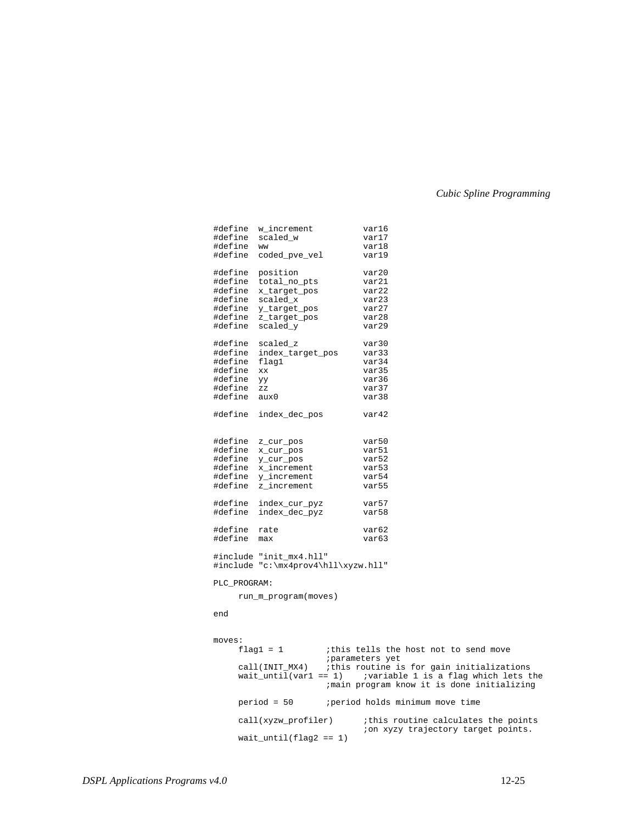|               | #define w_increment                                            |  | var16                                                                                            |  |
|---------------|----------------------------------------------------------------|--|--------------------------------------------------------------------------------------------------|--|
|               | #define scaled_w                                               |  | var17                                                                                            |  |
| #define ww    |                                                                |  | var18                                                                                            |  |
|               | #define coded_pve_vel                                          |  | var19                                                                                            |  |
|               |                                                                |  |                                                                                                  |  |
|               | #define position                                               |  | var20                                                                                            |  |
|               | #define total_no_pts                                           |  | var21                                                                                            |  |
|               | #define x_target_pos                                           |  | var22                                                                                            |  |
|               | #define scaled_x                                               |  | var23                                                                                            |  |
|               | #define y_target_pos                                           |  | var27                                                                                            |  |
|               | #define z_target_pos                                           |  | var28                                                                                            |  |
|               | #define scaled_y                                               |  | var29                                                                                            |  |
|               |                                                                |  | var30                                                                                            |  |
|               | #define scaled_z                                               |  |                                                                                                  |  |
|               | #define index_target_pos                                       |  | var33                                                                                            |  |
| #define flag1 |                                                                |  | var34                                                                                            |  |
| #define xx    |                                                                |  | var35                                                                                            |  |
| #define yy    |                                                                |  | var36                                                                                            |  |
| #define zz    |                                                                |  | var37                                                                                            |  |
| #define aux0  |                                                                |  | var38                                                                                            |  |
|               |                                                                |  |                                                                                                  |  |
|               | #define index_dec_pos                                          |  | var42                                                                                            |  |
|               |                                                                |  |                                                                                                  |  |
|               | #define z_cur_pos                                              |  | var50                                                                                            |  |
|               | #define x_cur_pos                                              |  | var51                                                                                            |  |
|               |                                                                |  |                                                                                                  |  |
|               | #define y_cur_pos                                              |  | var52                                                                                            |  |
|               | #define x_increment                                            |  | var53                                                                                            |  |
|               | #define y_increment                                            |  | var54                                                                                            |  |
|               | #define z_increment                                            |  | var55                                                                                            |  |
|               | #define index_cur_pyz                                          |  | var57                                                                                            |  |
|               | #define index_dec_pyz                                          |  | var58                                                                                            |  |
|               |                                                                |  |                                                                                                  |  |
| #define rate  |                                                                |  | var <sub>62</sub>                                                                                |  |
| #define max   |                                                                |  | var <sub>63</sub>                                                                                |  |
|               |                                                                |  |                                                                                                  |  |
|               | #include "init_mx4.hll"<br>#include "c:\mx4prov4\hll\xyzw.hll" |  |                                                                                                  |  |
|               |                                                                |  |                                                                                                  |  |
| PLC_PROGRAM:  |                                                                |  |                                                                                                  |  |
|               | run_m_program(moves)                                           |  |                                                                                                  |  |
|               |                                                                |  |                                                                                                  |  |
| end           |                                                                |  |                                                                                                  |  |
|               |                                                                |  |                                                                                                  |  |
| moves:        |                                                                |  |                                                                                                  |  |
|               | $flag1 = 1$                                                    |  | ithis tells the host not to send move<br>; parameters yet                                        |  |
|               |                                                                |  |                                                                                                  |  |
|               | wait_until(var1 == 1)                                          |  | call(INIT_MX4) (this routine is for gain initializations<br>;variable 1 is a flag which lets the |  |
|               |                                                                |  | ; main program know it is done initializing                                                      |  |
|               |                                                                |  |                                                                                                  |  |
|               |                                                                |  | period = 50 <i>period</i> holds minimum move time                                                |  |
|               | call(xyzw_profiler)                                            |  | ithis routine calculates the points<br>ion xyzy trajectory target points.                        |  |
|               | $wait\_until(flag2 == 1)$                                      |  |                                                                                                  |  |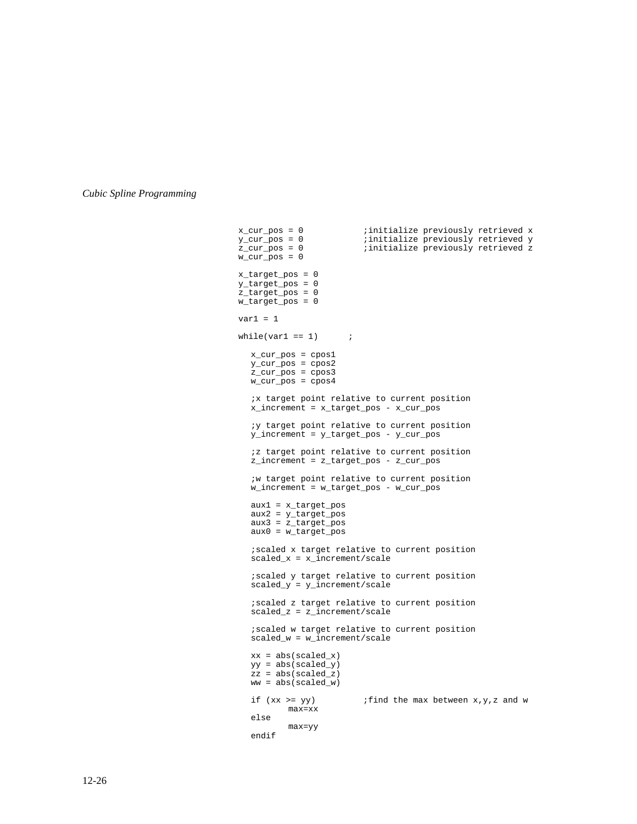x\_cur\_pos = 0 ;initialize previously retrieved x<br>y\_cur\_pos = 0 ;initialize previously retrieved y y\_cur\_pos = 0 ;initialize previously retrieved y<br>z\_cur\_pos = 0 ;initialize previously retrieved z zinitialize previously retrieved z  $w_cur_pos = 0$  x\_target\_pos = 0  $y_{\text{target} \text{pos}} = 0$  z\_target\_pos = 0 w\_target\_pos = 0  $var1 = 1$ while(var1 ==  $1$ ) ; x\_cur\_pos = cpos1  $y_ccur_p$ os =  $cpos2$  $z_l = \frac{1}{2}$  $w_ccur_p$ os =  $cpos4$ ;x target point relative to current position x\_increment = x\_target\_pos - x\_cur\_pos ;y target point relative to current position y\_increment = y\_target\_pos - y\_cur\_pos ;z target point relative to current position z\_increment = z\_target\_pos - z\_cur\_pos ;w target point relative to current position w\_increment = w\_target\_pos - w\_cur\_pos aux1 = x\_target\_pos  $aux2 = y_{target}$ aux3 = z\_target\_pos aux0 = w\_target\_pos ;scaled x target relative to current position scaled\_x = x\_increment/scale ;scaled y target relative to current position  $scalar_y = y_increment/scale$ ;scaled z target relative to current position scaled\_z = z\_increment/scale ;scaled w target relative to current position scaled\_w = w\_increment/scale  $xx = abs(scaled_x)$  $yy = abs(scaled_y)$  $zz = abs(scaled_z)$ ww = abs(scaled\_w) if  $(xx \geq yy)$  ; find the max between  $x,y,z$  and w max=xx else max=yy endif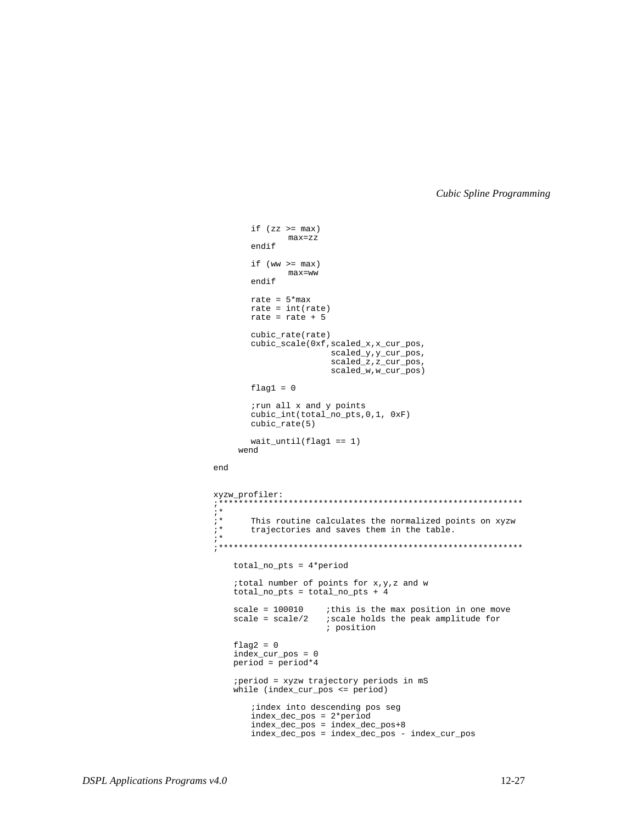```
if (zz \gt = max)max=zz
       endif
       if (ww >= max)
               max=ww
       endif
       rate = 5*maxrate = int(rate)
        rate = rate + 5
       cubic_rate(rate)
       cubic_scale(0xf,scaled_x,x_cur_pos,
                        scaled_y,y_cur_pos,
                        scaled_z,z_cur_pos,
                        scaled_w,w_cur_pos)
       flag1 = 0;run all x and y points
       cubic_int(total_no_pts,0,1, 0xF)
       cubic_rate(5)
       wait_until(flag1 == 1)
      wend
end
xyzw_profiler:
;*************************************************************
;* This routine calculates the normalized points on xyzw
       trajectories and saves them in the table.
;*************************************************************
     total_no_pts = 4*period
     ;total number of points for x,y,z and w
     total_no_pts = total_no_pts + 4
    scale = 100010 ; this is the max position in one move
     scale = scale/2 ;scale holds the peak amplitude for
                      ; position
    flag2 = 0 index_cur_pos = 0
   period = period*4 ;period = xyzw trajectory periods in mS
     while (index_cur_pos <= period)
       ;index into descending pos seg
       index_dec_pos = 2*period
       index_dec_pos = index_dec_pos+8
       index_dec_pos = index_dec_pos - index_cur_pos
```
;\*

;\*